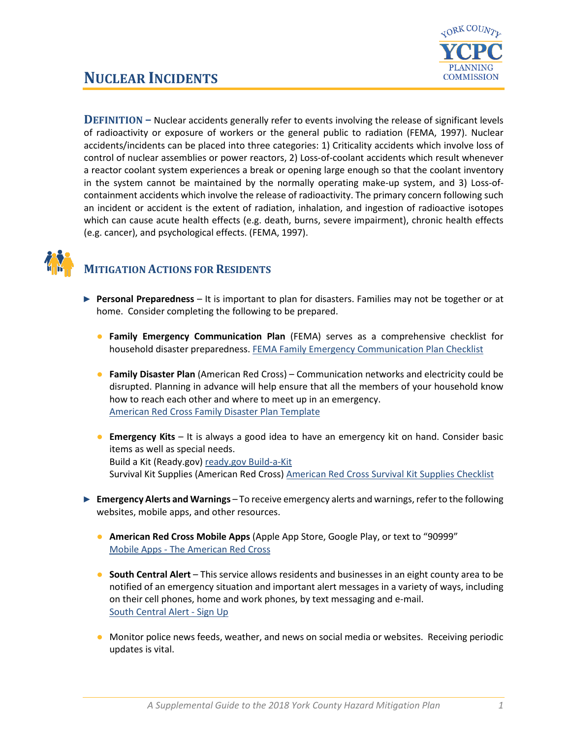

## **NUCLEAR INCIDENTS**

**DEFINITION –** Nuclear accidents generally refer to events involving the release of significant levels of radioactivity or exposure of workers or the general public to radiation (FEMA, 1997). Nuclear accidents/incidents can be placed into three categories: 1) Criticality accidents which involve loss of control of nuclear assemblies or power reactors, 2) Loss-of-coolant accidents which result whenever a reactor coolant system experiences a break or opening large enough so that the coolant inventory in the system cannot be maintained by the normally operating make-up system, and 3) Loss-ofcontainment accidents which involve the release of radioactivity. The primary concern following such an incident or accident is the extent of radiation, inhalation, and ingestion of radioactive isotopes which can cause acute health effects (e.g. death, burns, severe impairment), chronic health effects (e.g. cancer), and psychological effects. (FEMA, 1997).



## **MITIGATION ACTIONS FOR RESIDENTS**

- ► **Personal Preparedness** It is important to plan for disasters. Families may not be together or at home. Consider completing the following to be prepared.
	- **Family Emergency Communication Plan** (FEMA) serves as a comprehensive checklist for household disaster preparedness. [FEMA Family Emergency Communication Plan Checklist](https://www.fema.gov/media-library-data/1530826217620-10775bfcb5d7600be8e6b88308b24d8c/P1094_CreateYourFamilyEmergencyCommunicationPlan_070318.pdf)
	- **Family Disaster Plan** (American Red Cross) Communication networks and electricity could be disrupted. Planning in advance will help ensure that all the members of your household know how to reach each other and where to meet up in an emergency. [American Red Cross Family Disaster Plan Template](https://www.redcross.org/content/dam/redcross/atg/PDF_s/Preparedness___Disaster_Recovery/General_Preparedness___Recovery/Home/ARC_Family_Disaster_Plan_Template_r083012.pdf)
	- **Emergency Kits** It is always a good idea to have an emergency kit on hand. Consider basic items as well as special needs. Build a Kit (Ready.gov) ready.gov [Build-a-Kit](https://www.ready.gov/build-a-kit) Survival Kit Supplies (American Red Cross) [American Red Cross Survival Kit Supplies Checklist](https://www.redcross.org/get-help/how-to-prepare-for-emergencies/survival-kit-supplies.html)
- ► **Emergency Alerts and Warnings** To receive emergency alerts and warnings, refer to the following websites, mobile apps, and other resources.
	- **American Red Cross Mobile Apps** (Apple App Store, Google Play, or text to "90999" Mobile Apps - [The American Red Cross](https://www.redcross.org/get-help/how-to-prepare-for-emergencies/mobile-apps.html)
	- **South Central Alert** This service allows residents and businesses in an eight county area to be notified of an emergency situation and important alert messages in a variety of ways, including on their cell phones, home and work phones, by text messaging and e-mail. [South Central Alert -](https://www.sctfpa.org/sc-alert.php) Sign Up
	- Monitor police news feeds, weather, and news on social media or websites. Receiving periodic updates is vital.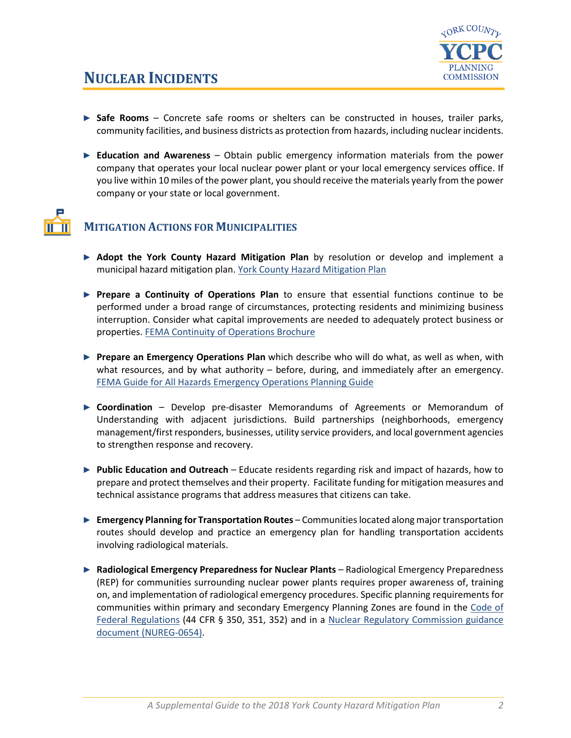

- ► Safe Rooms Concrete safe rooms or shelters can be constructed in houses, trailer parks, community facilities, and business districts as protection from hazards, including nuclear incidents.
- ► **Education and Awareness** Obtain public emergency information materials from the power company that operates your local nuclear power plant or your local emergency services office. If you live within 10 miles of the power plant, you should receive the materials yearly from the power company or your state or local government.



## **MITIGATION ACTIONS FOR MUNICIPALITIES**

- ► **Adopt the York County Hazard Mitigation Plan** by resolution or develop and implement a municipal hazard mitigation plan. [York County Hazard Mitigation Plan](http://ycpc.org/DocumentCenter/View/290/Hazard-Mitigation-Plan-PDF)
- ► **Prepare a Continuity of Operations Plan** to ensure that essential functions continue to be performed under a broad range of circumstances, protecting residents and minimizing business interruption. Consider what capital improvements are needed to adequately protect business or properties[. FEMA Continuity of Operations Brochure](https://www.fema.gov/pdf/about/org/ncp/coop_brochure.pdf)
- ► **Prepare an Emergency Operations Plan** which describe who will do what, as well as when, with what resources, and by what authority – before, during, and immediately after an emergency. [FEMA Guide for All Hazards Emergency Operations Planning Guide](https://www.fema.gov/pdf/plan/slg101.pdf)
- ► **Coordination** Develop pre-disaster Memorandums of Agreements or Memorandum of Understanding with adjacent jurisdictions. Build partnerships (neighborhoods, emergency management/first responders, businesses, utility service providers, and local government agencies to strengthen response and recovery.
- ► **Public Education and Outreach** Educate residents regarding risk and impact of hazards, how to prepare and protect themselves and their property. Facilitate funding for mitigation measures and technical assistance programs that address measures that citizens can take.
- ► **Emergency Planning for Transportation Routes** Communities located along major transportation routes should develop and practice an emergency plan for handling transportation accidents involving radiological materials.
- ► **Radiological Emergency Preparedness for Nuclear Plants** Radiological Emergency Preparedness (REP) for communities surrounding nuclear power plants requires proper awareness of, training on, and implementation of radiological emergency procedures. Specific planning requirements for communities within primary and secondary Emergency Planning Zones are found in the Code of [Federal Regulations](https://www.govinfo.gov/app/collection/CFR) (44 CFR § 350, 351, 352) and in a [Nuclear Regulatory Commission guidance](http://www.nrc.gov/readinm/doc-collections/nuregs/staff/sr0654/g-r)  [document \(NUREG-0654\).](http://www.nrc.gov/readinm/doc-collections/nuregs/staff/sr0654/g-r)